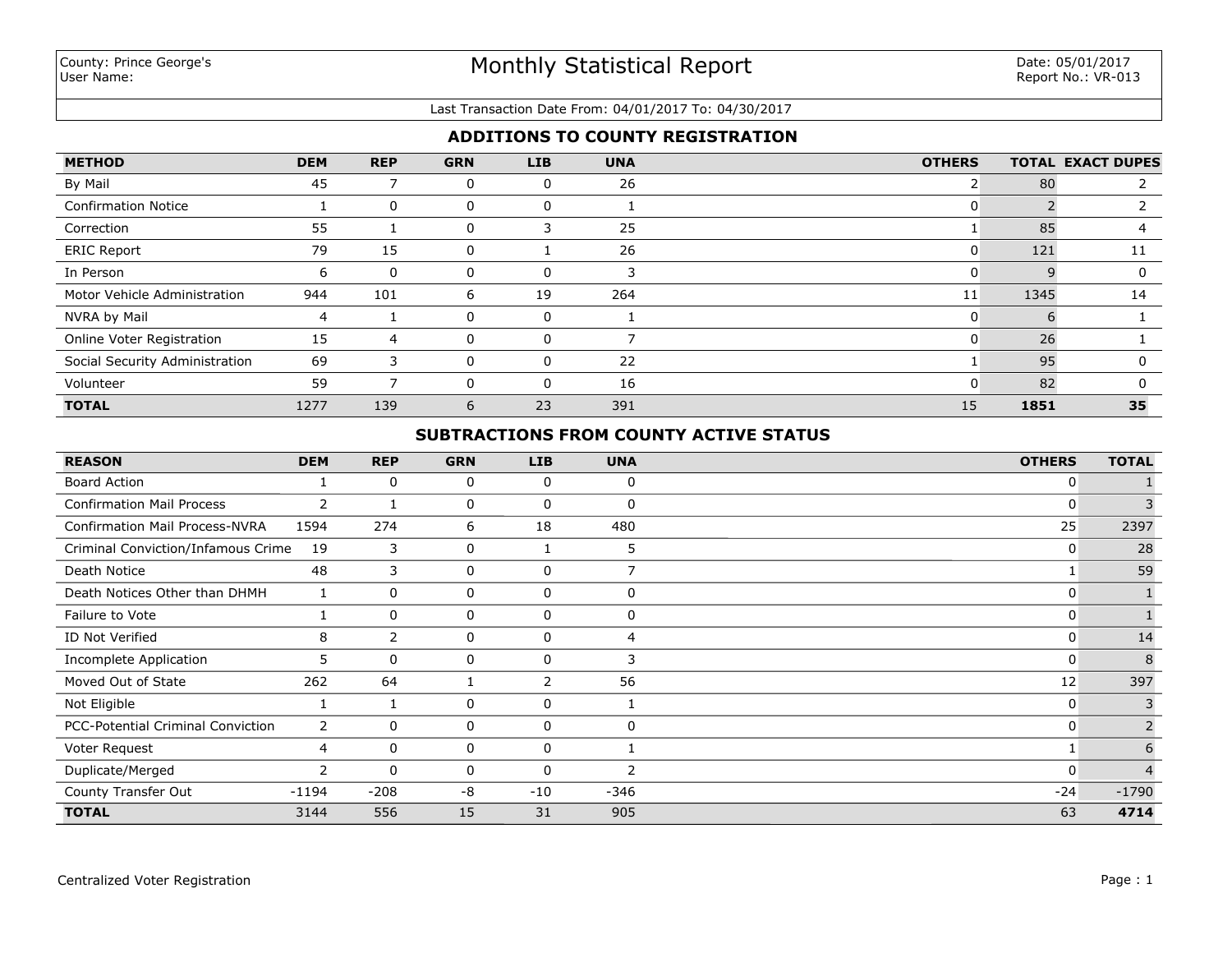### Last Transaction Date From: 04/01/2017 To: 04/30/2017

# **ADDITIONS TO COUNTY REGISTRATION**

| <b>METHOD</b>                  | <b>DEM</b> | <b>REP</b>  | <b>GRN</b> | LIB | <b>UNA</b> | <b>OTHERS</b> |      | <b>TOTAL EXACT DUPES</b> |
|--------------------------------|------------|-------------|------------|-----|------------|---------------|------|--------------------------|
| By Mail                        | 45         |             | 0          | 0   | 26         |               | 80   |                          |
| <b>Confirmation Notice</b>     |            | $\Omega$    | 0          | 0   |            | 0             |      |                          |
| Correction                     | 55         |             | 0          | 3   | 25         |               | 85   |                          |
| <b>ERIC Report</b>             | 79         | 15          | 0          |     | 26         | 0             | 121  | 11                       |
| In Person                      | 6          | $\mathbf 0$ | 0          | 0   |            | O             |      |                          |
| Motor Vehicle Administration   | 944        | 101         | 6          | 19  | 264        | 11            | 1345 | 14                       |
| NVRA by Mail                   | 4          |             | 0          | 0   |            | ი             |      |                          |
| Online Voter Registration      | 15         | 4           | 0          | 0   |            | 0             | 26   |                          |
| Social Security Administration | 69         | 3           | 0          | 0   | 22         |               | 95   |                          |
| Volunteer                      | 59         |             | 0          | 0   | 16         | ი             | 82   |                          |
| <b>TOTAL</b>                   | 1277       | 139         | 6          | 23  | 391        | 15            | 1851 | 35                       |

# **SUBTRACTIONS FROM COUNTY ACTIVE STATUS**

| <b>REASON</b>                            | <b>DEM</b>     | <b>REP</b>   | <b>GRN</b> | <b>LIB</b> | <b>UNA</b> | <b>OTHERS</b> | <b>TOTAL</b> |
|------------------------------------------|----------------|--------------|------------|------------|------------|---------------|--------------|
| <b>Board Action</b>                      |                | 0            | 0          | 0          | 0          | 0             |              |
| <b>Confirmation Mail Process</b>         | $\overline{2}$ | $\mathbf{1}$ | 0          | 0          | $\Omega$   | 0             | 3            |
| <b>Confirmation Mail Process-NVRA</b>    | 1594           | 274          | 6          | 18         | 480        | 25            | 2397         |
| Criminal Conviction/Infamous Crime       | 19             | 3            | 0          |            | 5          | 0             | 28           |
| Death Notice                             | 48             | 3            | 0          | 0          |            |               | 59           |
| Death Notices Other than DHMH            |                | 0            | 0          | 0          | 0          | 0             |              |
| Failure to Vote                          |                | 0            | 0          | 0          | $\Omega$   | $\Omega$      |              |
| ID Not Verified                          | 8              | 2            | 0          | 0          | 4          | 0             | 14           |
| <b>Incomplete Application</b>            | 5              | 0            | 0          | 0          | 3          | 0             | 8            |
| Moved Out of State                       | 262            | 64           |            | 2          | 56         | 12            | 397          |
| Not Eligible                             |                | 1            | 0          | 0          |            | 0             | 3            |
| <b>PCC-Potential Criminal Conviction</b> | $\mathbf{2}$   | $\mathbf 0$  | 0          | 0          | 0          | 0             |              |
| Voter Request                            | 4              | $\mathbf 0$  | 0          | 0          |            |               | 6            |
| Duplicate/Merged                         | 2              | $\mathbf 0$  | 0          | 0          | 2          | 0             | $\Delta$     |
| County Transfer Out                      | $-1194$        | $-208$       | -8         | $-10$      | $-346$     | $-24$         | $-1790$      |
| <b>TOTAL</b>                             | 3144           | 556          | 15         | 31         | 905        | 63            | 4714         |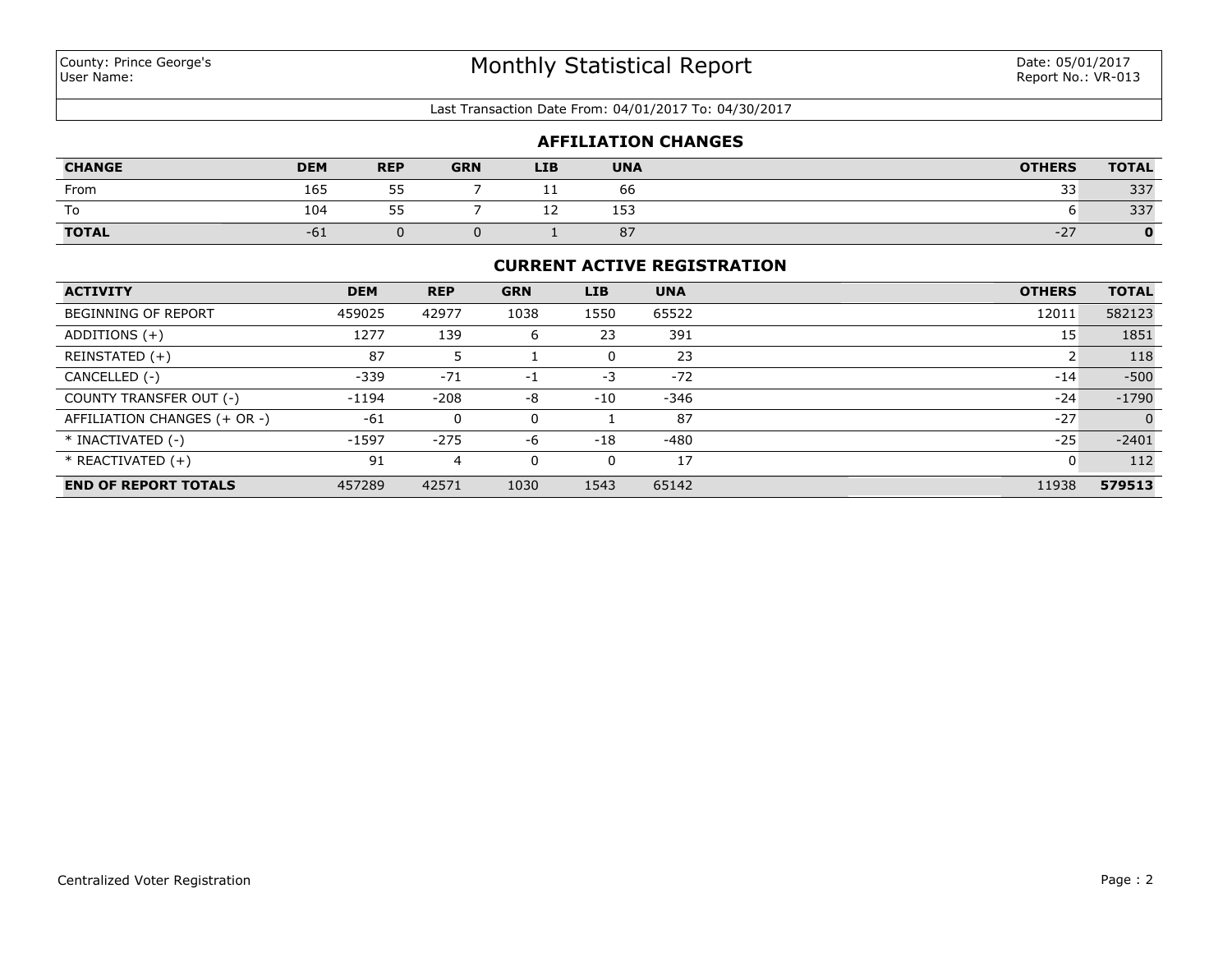### Last Transaction Date From: 04/01/2017 To: 04/30/2017

| <b>AFFILIATION CHANGES</b> |            |                 |            |            |            |               |              |
|----------------------------|------------|-----------------|------------|------------|------------|---------------|--------------|
| <b>CHANGE</b>              | <b>DEM</b> | <b>REP</b>      | <b>GRN</b> | <b>LIB</b> | <b>UNA</b> | <b>OTHERS</b> | <b>TOTAL</b> |
| From                       | 165        | 55<br>ں ب       |            |            | 66         | 33            | 337          |
| To                         | 104        | 55<br><u>JJ</u> |            | --         | 153        |               | 337          |
| <b>TOTAL</b>               | $-61$      |                 |            |            | 87         | $-27$         |              |

### **CURRENT ACTIVE REGISTRATION**

| <b>ACTIVITY</b>              | <b>DEM</b> | <b>REP</b> | <b>GRN</b> | <b>LIB</b> | <b>UNA</b> | <b>OTHERS</b> | <b>TOTAL</b>   |
|------------------------------|------------|------------|------------|------------|------------|---------------|----------------|
| <b>BEGINNING OF REPORT</b>   | 459025     | 42977      | 1038       | 1550       | 65522      | 12011         | 582123         |
| ADDITIONS $(+)$              | 1277       | 139        | 6          | 23         | 391        | 15            | 1851           |
| REINSTATED (+)               | 87         |            |            | 0          | 23         |               | 118            |
| CANCELLED (-)                | $-339$     | $-71$      | $-1$       | $-3$       | $-72$      | $-14$         | $-500$         |
| COUNTY TRANSFER OUT (-)      | $-1194$    | $-208$     | -8         | $-10$      | $-346$     | $-24$         | $-1790$        |
| AFFILIATION CHANGES (+ OR -) | $-61$      | 0          | 0          |            | 87         | $-27$         | $\overline{0}$ |
| * INACTIVATED (-)            | $-1597$    | $-275$     | -6         | $-18$      | -480       | $-25$         | $-2401$        |
| $*$ REACTIVATED $(+)$        | 91         | 4          | $\Omega$   | 0          | 17         | 0             | 112            |
| <b>END OF REPORT TOTALS</b>  | 457289     | 42571      | 1030       | 1543       | 65142      | 11938         | 579513         |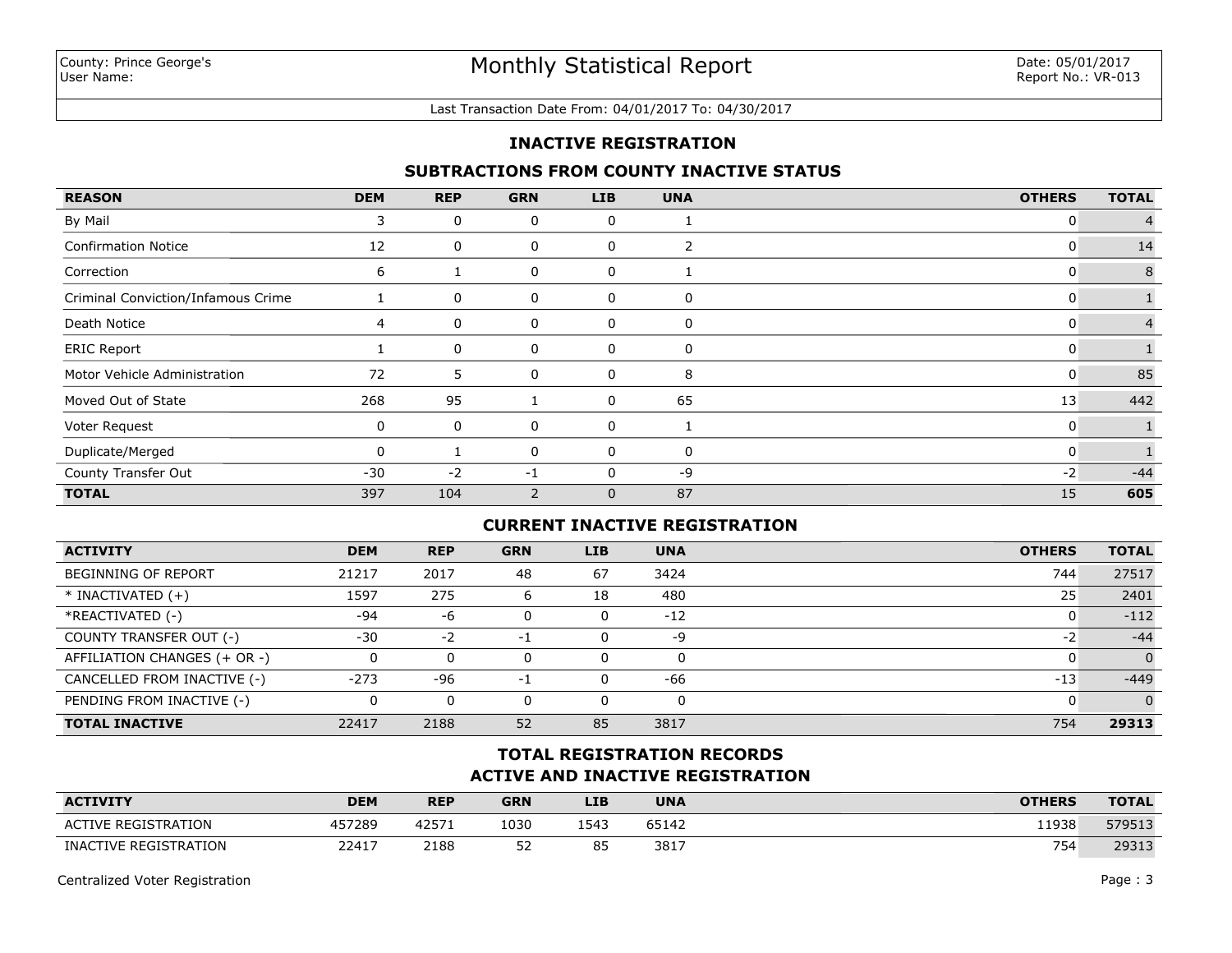#### Last Transaction Date From: 04/01/2017 To: 04/30/2017

## **INACTIVE REGISTRATION**

## **SUBTRACTIONS FROM COUNTY INACTIVE STATUS**

| <b>REASON</b>                      | <b>DEM</b> | <b>REP</b> | <b>GRN</b>     | <b>LIB</b> | <b>UNA</b> | <b>OTHERS</b> | <b>TOTAL</b>   |
|------------------------------------|------------|------------|----------------|------------|------------|---------------|----------------|
| By Mail                            | 3          | 0          | 0              | 0          | Ŧ          | 0             |                |
| <b>Confirmation Notice</b>         | 12         | 0          | 0              | 0          | 2          | 0             | 14             |
| Correction                         | 6          |            | 0              | 0          |            | 0             | 8              |
| Criminal Conviction/Infamous Crime |            | 0          | 0              | 0          | 0          | 0             |                |
| Death Notice                       | 4          | 0          | 0              | 0          | 0          | 0             | $\overline{4}$ |
| <b>ERIC Report</b>                 |            | 0          | 0              | 0          | 0          | $\mathbf{0}$  |                |
| Motor Vehicle Administration       | 72         | 5          | 0              | 0          | 8          | 0             | 85             |
| Moved Out of State                 | 268        | 95         |                | 0          | 65         | 13            | 442            |
| Voter Request                      | 0          | 0          | 0              | 0          |            | $\mathbf{0}$  |                |
| Duplicate/Merged                   | $\Omega$   |            | 0              | 0          | 0          | $\mathbf{0}$  |                |
| County Transfer Out                | $-30$      | $-2$       | $-1$           |            | -9         | $-2$          | $-44$          |
| <b>TOTAL</b>                       | 397        | 104        | $\overline{2}$ | 0          | 87         | 15            | 605            |

## **CURRENT INACTIVE REGISTRATION**

| <b>ACTIVITY</b>              | <b>DEM</b> | <b>REP</b> | <b>GRN</b> | <b>LIB</b> | <b>UNA</b> | <b>OTHERS</b> | <b>TOTAL</b>   |
|------------------------------|------------|------------|------------|------------|------------|---------------|----------------|
| <b>BEGINNING OF REPORT</b>   | 21217      | 2017       | 48         | 67         | 3424       | 744           | 27517          |
| $*$ INACTIVATED $(+)$        | 1597       | 275        | 6          | 18         | 480        | 25            | 2401           |
| *REACTIVATED (-)             | $-94$      | -6         |            | 0          | $-12$      | O             | $-112$         |
| COUNTY TRANSFER OUT (-)      | $-30$      | $-2$       | -1         | 0          | -9         | -2            | $-44$          |
| AFFILIATION CHANGES (+ OR -) |            |            |            | 0          | 0          |               | $\overline{0}$ |
| CANCELLED FROM INACTIVE (-)  | $-273$     | -96        | -1         | 0          | -66        | $-13$         | $-449$         |
| PENDING FROM INACTIVE (-)    |            |            |            | 0          | 0          |               | $\Omega$       |
| <b>TOTAL INACTIVE</b>        | 22417      | 2188       | 52         | 85         | 3817       | 754           | 29313          |

# **ACTIVE AND INACTIVE REGISTRATION TOTAL REGISTRATION RECORDS**

| <b>ACTIVITY</b>            | <b>DEM</b> | <b>REP</b> | <b>GRN</b> | <b>LIB</b> | <b>UNA</b> | <b>OTHERS</b> | <b>TOTAL</b> |
|----------------------------|------------|------------|------------|------------|------------|---------------|--------------|
| <b>ACTIVE REGISTRATION</b> | 457289     | 42571      | 1030       | 1543       | 65142      | 11938         | 579513       |
| INACTIVE REGISTRATION      | 22417      | 2188       | ED.<br>ے ب | 85         | 3817       | 754           | 29313        |